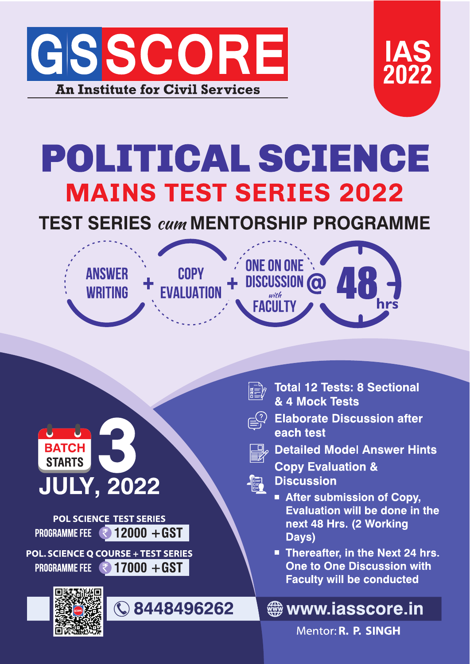



# POLITICAL SCIENCE **MAINS TEST SERIES 2022**

### **TEST SERIES cum MENTORSHIP PROGRAMME**





**POL SCIENCE TEST SERIES PROGRAMME FEE**  $\sqrt{2}$  12000 + GST

POL. SCIENCE Q COURSE + TEST SERIES PROGRAMME FEE ₹ 17000 + GST





- **Total 12 Tests: 8 Sectional** & 4 Mock Tests
- **Elaborate Discussion after** each test
	- $\mathcal P$  Detailed Model Answer Hints
		- **Copy Evaluation &**
	- **Discussion**

編

- **After submission of Copy.** Evaluation will be done in the next 48 Hrs. (2 Working Days)
- Thereafter, in the Next 24 hrs. One to One Discussion with **Faculty will be conducted**

#### **stage www.iasscore.in**

Mentor: R. P. SINGH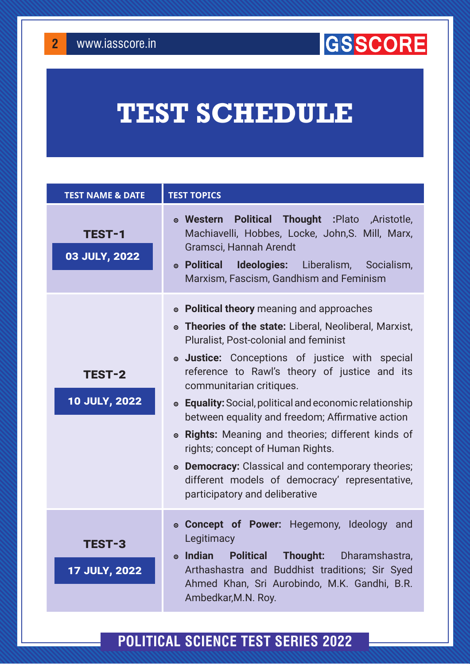**2**

### **GISSCORE**

## **TEST SCHEDULE**

| <b>TEST NAME &amp; DATE</b>           | <b>TEST TOPICS</b>                                                                                                                                                                                                                                                                                                                                                                                                                                                                                                                                                                                                                                   |
|---------------------------------------|------------------------------------------------------------------------------------------------------------------------------------------------------------------------------------------------------------------------------------------------------------------------------------------------------------------------------------------------------------------------------------------------------------------------------------------------------------------------------------------------------------------------------------------------------------------------------------------------------------------------------------------------------|
| <b>TEST-1</b><br>03 JULY, 2022        | <b>. Western Political Thought : Plato , Aristotle,</b><br>Machiavelli, Hobbes, Locke, John, S. Mill, Marx,<br>Gramsci, Hannah Arendt<br>• Political Ideologies: Liberalism, Socialism,<br>Marxism, Fascism, Gandhism and Feminism                                                                                                                                                                                                                                                                                                                                                                                                                   |
| <b>TEST-2</b><br><b>10 JULY, 2022</b> | • Political theory meaning and approaches<br>• Theories of the state: Liberal, Neoliberal, Marxist,<br><b>Pluralist, Post-colonial and feminist</b><br>• Justice: Conceptions of justice with special<br>reference to Rawl's theory of justice and its<br>communitarian critiques.<br>• Equality: Social, political and economic relationship<br>between equality and freedom; Affirmative action<br><b>Rights:</b> Meaning and theories; different kinds of<br>$\odot$<br>rights; concept of Human Rights.<br>• Democracy: Classical and contemporary theories;<br>different models of democracy' representative,<br>participatory and deliberative |
| <b>TEST-3</b><br><b>17 JULY, 2022</b> | • <b>Concept of Power:</b> Hegemony, Ideology<br>and<br>Legitimacy<br><b>Indian</b><br><b>Political</b><br>Thought:<br>Dharamshastra,<br>$\odot$<br>Arthashastra and Buddhist traditions; Sir Syed<br>Ahmed Khan, Sri Aurobindo, M.K. Gandhi, B.R.<br>Ambedkar, M.N. Roy.                                                                                                                                                                                                                                                                                                                                                                            |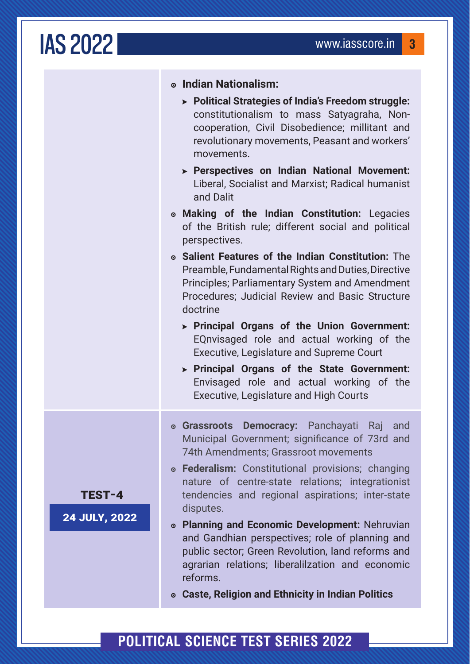## IAS2022 www.iasscore.in **<sup>3</sup>**

|                                       | • Indian Nationalism:<br>> Political Strategies of India's Freedom struggle:<br>constitutionalism to mass Satyagraha, Non-<br>cooperation, Civil Disobedience; millitant and<br>revolutionary movements, Peasant and workers'<br>movements.<br>> Perspectives on Indian National Movement:<br>Liberal, Socialist and Marxist; Radical humanist<br>and Dalit<br>• Making of the Indian Constitution: Legacies<br>of the British rule; different social and political<br>perspectives.<br>• Salient Features of the Indian Constitution: The<br>Preamble, Fundamental Rights and Duties, Directive<br>Principles; Parliamentary System and Amendment<br>Procedures; Judicial Review and Basic Structure<br>doctrine<br>> Principal Organs of the Union Government:<br>EQnvisaged role and actual working of the<br>Executive, Legislature and Supreme Court<br>> Principal Organs of the State Government:<br>Envisaged role and actual working of the<br><b>Executive, Legislature and High Courts</b> |
|---------------------------------------|-------------------------------------------------------------------------------------------------------------------------------------------------------------------------------------------------------------------------------------------------------------------------------------------------------------------------------------------------------------------------------------------------------------------------------------------------------------------------------------------------------------------------------------------------------------------------------------------------------------------------------------------------------------------------------------------------------------------------------------------------------------------------------------------------------------------------------------------------------------------------------------------------------------------------------------------------------------------------------------------------------|
| <b>TEST-4</b><br><b>24 JULY, 2022</b> | • Grassroots Democracy: Panchayati Raj and<br>Municipal Government; significance of 73rd and<br>74th Amendments; Grassroot movements<br>• Federalism: Constitutional provisions; changing<br>nature of centre-state relations; integrationist<br>tendencies and regional aspirations; inter-state<br>disputes.<br>• Planning and Economic Development: Nehruvian<br>and Gandhian perspectives; role of planning and<br>public sector; Green Revolution, land reforms and<br>agrarian relations; liberalilzation and economic<br>reforms.<br><b>. Caste, Religion and Ethnicity in Indian Politics</b>                                                                                                                                                                                                                                                                                                                                                                                                 |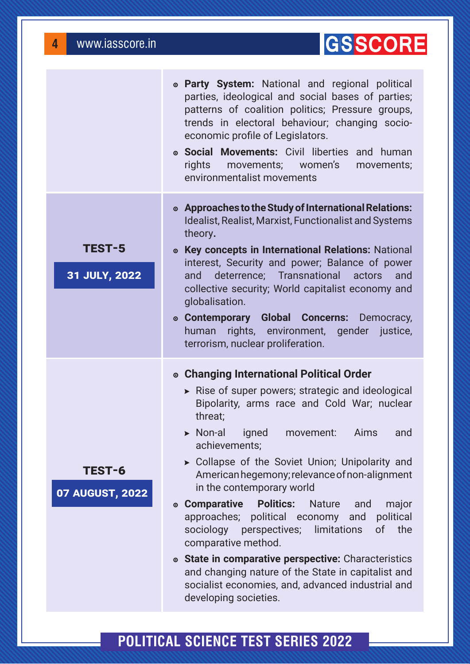### **GISSCORE**

|                                | • Party System: National and regional political<br>parties, ideological and social bases of parties;<br>patterns of coalition politics; Pressure groups,<br>trends in electoral behaviour; changing socio-<br>economic profile of Legislators.<br>• Social Movements: Civil liberties and human<br>rights movements; women's<br>movements;<br>environmentalist movements                                                                                                                                                                                                                                                                                                                                                                                                            |
|--------------------------------|-------------------------------------------------------------------------------------------------------------------------------------------------------------------------------------------------------------------------------------------------------------------------------------------------------------------------------------------------------------------------------------------------------------------------------------------------------------------------------------------------------------------------------------------------------------------------------------------------------------------------------------------------------------------------------------------------------------------------------------------------------------------------------------|
| <b>TEST-5</b><br>31 JULY, 2022 | • Approaches to the Study of International Relations:<br>Idealist, Realist, Marxist, Functionalist and Systems<br>theory.<br>• Key concepts in International Relations: National<br>interest, Security and power; Balance of power<br>and deterrence; Transnational actors<br>and<br>collective security; World capitalist economy and<br>globalisation.<br>• Contemporary Global Concerns: Democracy,<br>rights, environment, gender justice,<br>human<br>terrorism, nuclear proliferation.                                                                                                                                                                                                                                                                                        |
| TEST-6<br>07 AUGUST, 2022      | ◎ Changing International Political Order<br>Rise of super powers; strategic and ideological<br>Bipolarity, arms race and Cold War; nuclear<br>threat;<br>$\triangleright$ Non-al<br>igned<br>Aims<br>movement:<br>and<br>achievements;<br>> Collapse of the Soviet Union; Unipolarity and<br>American hegemony; relevance of non-alignment<br>in the contemporary world<br><b>Politics:</b><br>◎ Comparative<br><b>Nature</b><br>major<br>and<br>approaches; political economy<br>political<br>and<br>sociology perspectives; limitations<br>the<br><sub>of</sub><br>comparative method.<br>• State in comparative perspective: Characteristics<br>and changing nature of the State in capitalist and<br>socialist economies, and, advanced industrial and<br>developing societies. |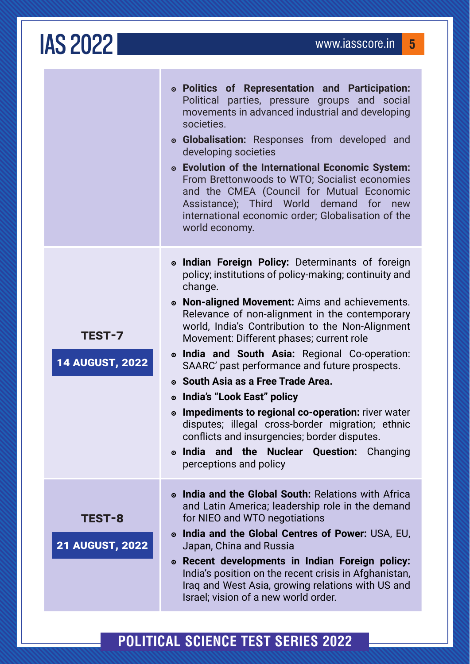#### **IAS 2022** www.iasscore.in 5 **Politics of Representation and Participation:**  Political parties, pressure groups and social movements in advanced industrial and developing societies. **Globalisation:** Responses from developed and developing societies **Evolution of the International Economic System:**  From Brettonwoods to WTO; Socialist economies and the CMEA (Council for Mutual Economic Assistance); Third World demand for new international economic order; Globalisation of the world economy. **TEST-7 14 AUGUST, 2022 Indian Foreign Policy:** Determinants of foreign policy; institutions of policy-making; continuity and change. **Non-aligned Movement:** Aims and achievements. Relevance of non-alignment in the contemporary world, India's Contribution to the Non-Alignment Movement: Different phases; current role **India and South Asia:** Regional Co-operation: SAARC' past performance and future prospects. **South Asia as a Free Trade Area. India's "Look East" policy Impediments to regional co-operation:** river water disputes; illegal cross-border migration; ethnic conflicts and insurgencies; border disputes. **India and the Nuclear Question:** Changing perceptions and policy **TEST-8 21 AUGUST, 2022 India and the Global South:** Relations with Africa and Latin America; leadership role in the demand for NIEO and WTO negotiations **India and the Global Centres of Power:** USA, EU, Japan, China and Russia **Recent developments in Indian Foreign policy:**  India's position on the recent crisis in Afghanistan, Iraq and West Asia, growing relations with US and

#### **Political science test series 2022**

Israel; vision of a new world order.